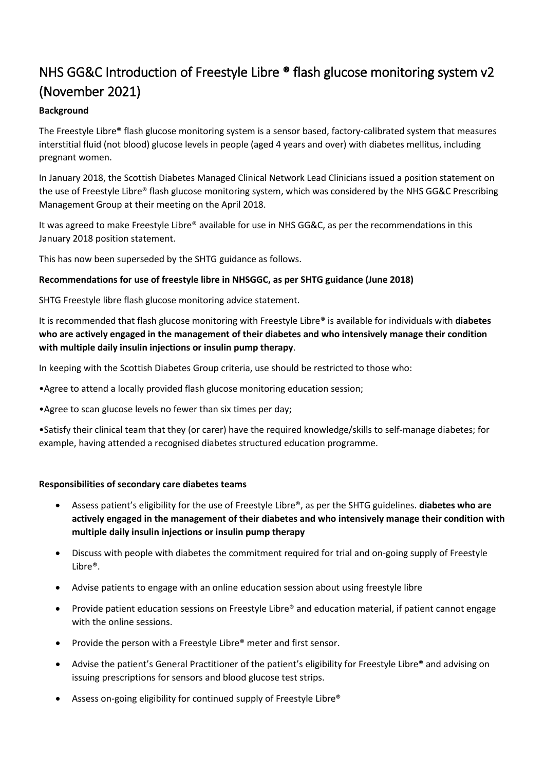# NHS GG&C Introduction of Freestyle Libre ® flash glucose monitoring system v2 (November 2021)

## **Background**

The Freestyle Libre® flash glucose monitoring system is a sensor based, factory-calibrated system that measures interstitial fluid (not blood) glucose levels in people (aged 4 years and over) with diabetes mellitus, including pregnant women.

In January 2018, the Scottish Diabetes Managed Clinical Network Lead Clinicians issued a position statement on the use of Freestyle Libre® flash glucose monitoring system, which was considered by the NHS GG&C Prescribing Management Group at their meeting on the April 2018.

It was agreed to make Freestyle Libre® available for use in NHS GG&C, as per the recommendations in this January 2018 position statement.

This has now been superseded by the SHTG guidance as follows.

## **Recommendations for use of freestyle libre in NHSGGC, as per SHTG guidance (June 2018)**

SHTG Freestyle libre flash glucose monitoring advice statement.

It is recommended that flash glucose monitoring with Freestyle Libre® is available for individuals with **diabetes who are actively engaged in the management of their diabetes and who intensively manage their condition with multiple daily insulin injections or insulin pump therapy**.

In keeping with the Scottish Diabetes Group criteria, use should be restricted to those who:

•Agree to attend a locally provided flash glucose monitoring education session;

•Agree to scan glucose levels no fewer than six times per day;

•Satisfy their clinical team that they (or carer) have the required knowledge/skills to self-manage diabetes; for example, having attended a recognised diabetes structured education programme.

## **Responsibilities of secondary care diabetes teams**

- Assess patient's eligibility for the use of Freestyle Libre®, as per the SHTG guidelines. **diabetes who are actively engaged in the management of their diabetes and who intensively manage their condition with multiple daily insulin injections or insulin pump therapy**
- Discuss with people with diabetes the commitment required for trial and on-going supply of Freestyle Libre®.
- Advise patients to engage with an online education session about using freestyle libre
- Provide patient education sessions on Freestyle Libre® and education material, if patient cannot engage with the online sessions.
- Provide the person with a Freestyle Libre® meter and first sensor.
- Advise the patient's General Practitioner of the patient's eligibility for Freestyle Libre® and advising on issuing prescriptions for sensors and blood glucose test strips.
- Assess on-going eligibility for continued supply of Freestyle Libre®